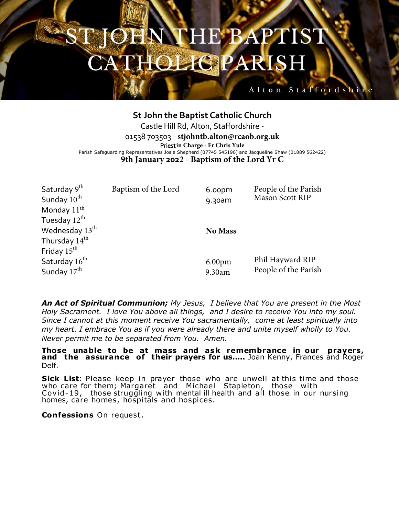## HE BAPTIS' **TOLIG PARI**

## **St John the Baptist Catholic Church** Castle Hill Rd, Alton, Staffordshire - 01538 703503 - **stjohntb.alton@rcaob.org.uk** Priest**in Charge - Fr Chris Yule** Parish Safeguarding Representatives Josie Shepherd (07745 545196) and Jacqueline Shaw (01889 562422) **9th January 2022 - Baptism of the Lord Yr C**

Alton Staffordshir

| Saturday 9 <sup>th</sup>   | Baptism of the Lord | 6.00pm             | People of the Parish |
|----------------------------|---------------------|--------------------|----------------------|
| Sunday 10 <sup>th</sup>    |                     | 9.30am             | Mason Scott RIP      |
| Monday $11th$              |                     |                    |                      |
| Tuesday $12^{\text{th}}$   |                     |                    |                      |
| Wednesday 13 <sup>th</sup> |                     | <b>No Mass</b>     |                      |
| Thursday $14^{\text{th}}$  |                     |                    |                      |
| Friday $15^{\text{th}}$    |                     |                    |                      |
| Saturday 16 <sup>th</sup>  |                     | 6.00 <sub>pm</sub> | Phil Hayward RIP     |
| Sunday $17^{\text{th}}$    |                     | 9.30am             | People of the Parish |
|                            |                     |                    |                      |

*An Act of Spiritual Communion; My Jesus, I believe that You are present in the Most Holy Sacrament. I love You above all things, and I desire to receive You into my soul. Since I cannot at this moment receive You sacramentally, come at least spiritually into my heart. I embrace You as if you were already there and unite myself wholly to You. Never permit me to be separated from You. Amen.*

**Those unable to be at mass and ask remembrance in our prayers, and the assurance of their prayers for us…..** Joan Kenny, Frances and Roger Delf.

**Sick List**: Please keep in prayer those who are unwell at this time and those who care for them; Margaret and Michael Stapleton, those with Covid-19, those struggling with mental ill health and all those in our nursing homes, care homes, hospitals and hospices.

**Confessions** On request.